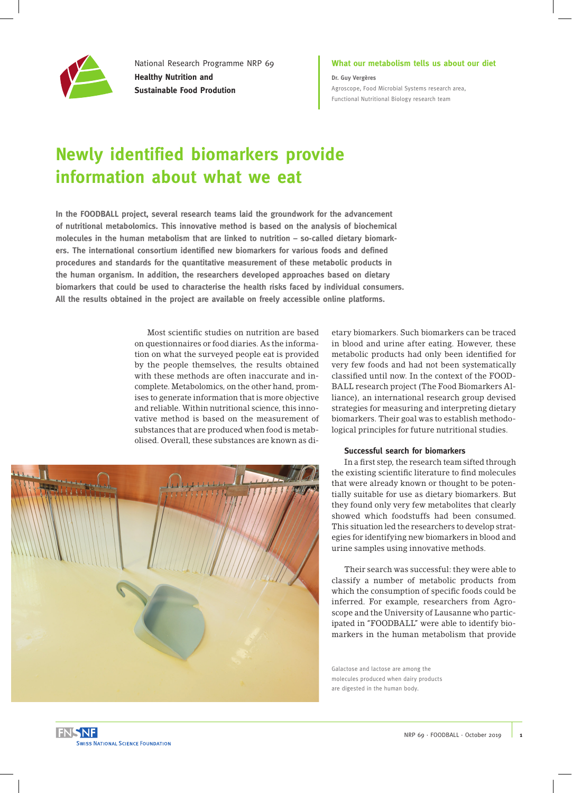

National Research Programme NRP 69 **Healthy Nutrition and Sustainable Food Prodution**

**What our metabolism tells us about our diet Dr. Guy Vergères** [Agroscope, Food Microbial Systems research area,](https://www.agroscope.admin.ch/agroscope/en/home/about-us/organization/competence-divisions-strategic-research-divisions/food-microbial-systems.html)  [Functional Nutritional Biology research team](https://www.agroscope.admin.ch/agroscope/en/home/about-us/organization/competence-divisions-strategic-research-divisions/food-microbial-systems.html)

# **Newly identified biomarkers provide information about what we eat**

**In the FOODBALL project, several research teams laid the groundwork for the advancement of nutritional metabolomics. This innovative method is based on the analysis of biochemical molecules in the human metabolism that are linked to nutrition – so-called dietary biomarkers. The international consortium identified new biomarkers for various foods and defined procedures and standards for the quantitative measurement of these metabolic products in the human organism. In addition, the researchers developed approaches based on dietary biomarkers that could be used to characterise the health risks faced by individual consumers. All the results obtained in the project are available on freely accessible online platforms.**

> Most scientific studies on nutrition are based on questionnaires or food diaries. As the information on what the surveyed people eat is provided by the people themselves, the results obtained with these methods are often inaccurate and incomplete. Metabolomics, on the other hand, promises to generate information that is more objective and reliable. Within nutritional science, this innovative method is based on the measurement of substances that are produced when food is metabolised. Overall, these substances are known as di-



etary biomarkers. Such biomarkers can be traced in blood and urine after eating. However, these metabolic products had only been identified for very few foods and had not been systematically classified until now. In the context of the FOOD-BALL research project (The Food Biomarkers Alliance), an international research group devised strategies for measuring and interpreting dietary biomarkers. Their goal was to establish methodological principles for future nutritional studies.

#### **Successful search for biomarkers**

In a first step, the research team sifted through the existing scientific literature to find molecules that were already known or thought to be potentially suitable for use as dietary biomarkers. But they found only very few metabolites that clearly showed which foodstuffs had been consumed. This situation led the researchers to develop strategies for identifying new biomarkers in blood and urine samples using innovative methods.

Their search was successful: they were able to classify a number of metabolic products from which the consumption of specific foods could be inferred. For example, researchers from Agroscope and the University of Lausanne who participated in "FOODBALL" were able to identify biomarkers in the human metabolism that provide

Galactose and lactose are among the molecules produced when dairy products are digested in the human body.